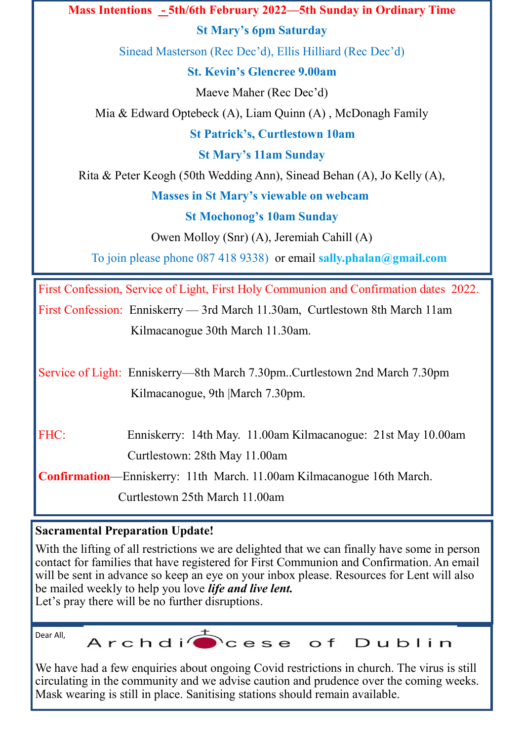**Mass Intentions - 5th/6th February 2022—5th Sunday in Ordinary Time St Mary's 6pm Saturday** Sinead Masterson (Rec Dec'd), Ellis Hilliard (Rec Dec'd) **St. Kevin's Glencree 9.00am** Maeve Maher (Rec Dec'd) Mia & Edward Optebeck (A), Liam Quinn (A) , McDonagh Family **St Patrick's, Curtlestown 10am St Mary's 11am Sunday** Rita & Peter Keogh (50th Wedding Ann), Sinead Behan (A), Jo Kelly (A), **Masses in St Mary's viewable on webcam St Mochonog's 10am Sunday** Owen Molloy (Snr) (A), Jeremiah Cahill (A) To join please phone 087 418 9338) or email **sally.phalan@gmail.com** First Confession, Service of Light, First Holy Communion and Confirmation dates 2022. First Confession: Enniskerry — 3rd March 11.30am, Curtlestown 8th March 11am Kilmacanogue 30th March 11.30am.

Service of Light: Enniskerry—8th March 7.30pm..Curtlestown 2nd March 7.30pm Kilmacanogue, 9th |March 7.30pm.

FHC: Enniskerry: 14th May. 11.00am Kilmacanogue: 21st May 10.00am Curtlestown: 28th May 11.00am

**Confirmation**—Enniskerry: 11th March. 11.00am Kilmacanogue 16th March. Curtlestown 25th March 11.00am

## **Sacramental Preparation Update!**

With the lifting of all restrictions we are delighted that we can finally have some in person contact for families that have registered for First Communion and Confirmation. An email will be sent in advance so keep an eye on your inbox please. Resources for Lent will also be mailed weekly to help you love *life and live lent.* Let's pray there will be no further disruptions.

Dear All,

Archdi<sup>+</sup>cese of Dublin

We have had a few enquiries about ongoing Covid restrictions in church. The virus is still circulating in the community and we advise caution and prudence over the coming weeks. Mask wearing is still in place. Sanitising stations should remain available.